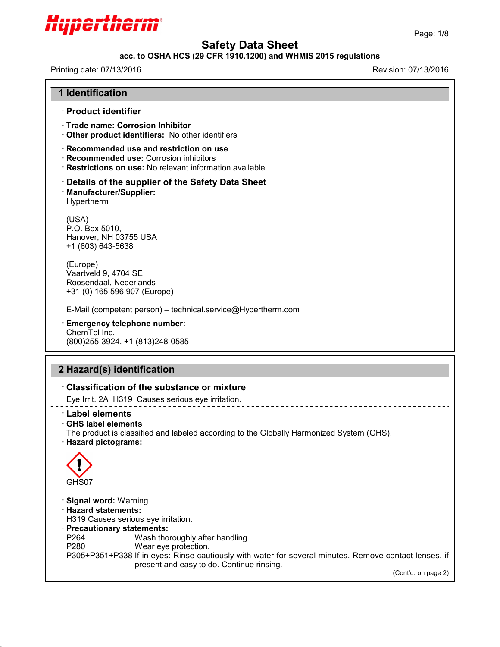

# **acc. to OSHA HCS (29 CFR 1910.1200) and WHMIS 2015 regulations**

43.0

| The product is classified and labeled according to the Globally Harmonized System (GHS).                                     |
|------------------------------------------------------------------------------------------------------------------------------|
|                                                                                                                              |
| P305+P351+P338 If in eyes: Rinse cautiously with water for several minutes. Remove contact lenses, if<br>(Cont'd. on page 2) |
|                                                                                                                              |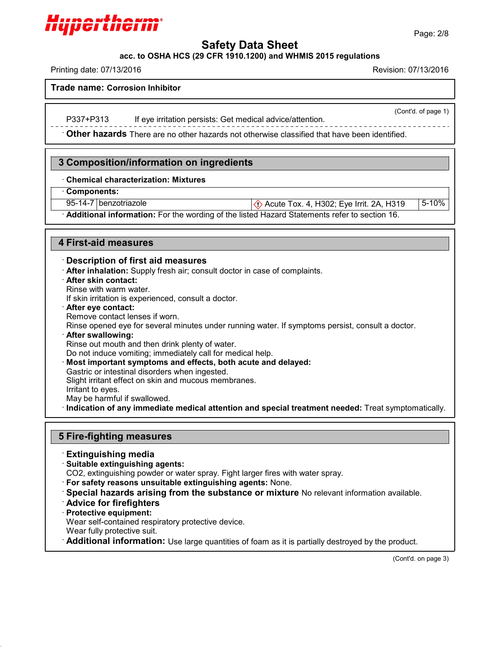# Hyperthern

# **Safety Data Sheet**

**acc. to OSHA HCS (29 CFR 1910.1200) and WHMIS 2015 regulations**

Printing date: 07/13/2016 Revision: 07/13/2016

**Trade name: Corrosion Inhibitor**

P337+P313 If eye irritation persists: Get medical advice/attention.

· **Other hazards** There are no other hazards nototherwise classified that have been identified.

# **3 Composition/information on ingredients**

# · **Chemical characterization: Mixtures**

· **Components:**

95-14-7 benzotriazole  $\Diamond$  Acute Tox. 4, H302; Eye Irrit. 2A, H319 5-10%

· **Additional information:** For the wording of the listed Hazard Statements refer to section 16.

# **4 First-aid measures**

# · **Description of first aid measures**

- · **After inhalation:** Supply fresh air; consult doctor in case of complaints.
- · **After skin contact:**

Rinse with warm water.

If skin irritation is experienced, consult a doctor.

· **After eye contact:**

Remove contact lenses if worn.

- Rinse opened eye for several minutes under running water. If symptoms persist, consult a doctor.
- · **After swallowing:**

Rinse out mouth and then drink plenty of water.

Do not induce vomiting; immediately call for medical help.

· **Most important symptoms and effects, both acute and delayed:**

Gastric or intestinal disorders when ingested.

Slight irritant effect on skin and mucous membranes.

Irritant to eyes.

May be harmful if swallowed.

· **Indication of any immediate medical attention and special treatment needed:** Treat symptomatically.

# **5 Fire-fighting measures**

- · **Extinguishing media**
- · **Suitable extinguishing agents:**

CO2, extinguishing powder or water spray. Fight larger fires with water spray.

- · **For safety reasons unsuitable extinguishing agents:** None.
- · **Special hazards arising from the substance or mixture** No relevant information available.
- · **Advice for firefighters**
- · **Protective equipment:**

Wear self-contained respiratory protective device.

Wear fully protective suit.

43.0

· **Additional information:** Use large quantities of foam as it is partially destroyed by the product.

(Cont'd. on page 3)

(Cont'd. of page 1)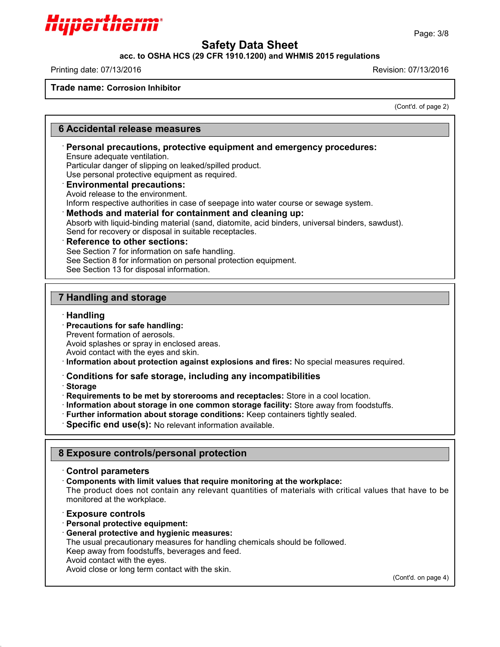

#### **acc. to OSHA HCS (29 CFR 1910.1200) and WHMIS 2015 regulations**

Printing date: 07/13/2016 Revision: 07/13/2016

Hyperthei

**Trade name: Corrosion Inhibitor**

(Cont'd. of page 2)

# **6 Accidental release measures**

# · **Personal precautions, protective equipment and emergency procedures:**

Ensure adequate ventilation.

Particular danger of slipping on leaked/spilled product.

Use personal protective equipment as required.

· **Environmental precautions:**

Avoid release to the environment.

Inform respective authorities in case of seepage into water course or sewage system.

#### · **Methods and material for containment and cleaning up:**

Absorb with liquid-binding material (sand, diatomite, acid binders, universal binders, sawdust). Send for recovery or disposal in suitable receptacles.

#### · **Reference to other sections:**

See Section 7 for information on safe handling.

See Section 8 for information on personal protection equipment.

See Section 13 for disposal information.

# **7 Handling and storage**

#### · **Handling**

· **Precautions for safe handling:**

Prevent formation of aerosols.

Avoid splashes or spray in enclosed areas.

Avoid contact with the eyes and skin.

· **Information about protection against explosions and fires:** No special measures required.

#### · **Conditions for safe storage, including any incompatibilities**

· **Storage**

43.0

· **Requirements to be met by storerooms and receptacles:** Store in a cool location.

- · **Information about storage in one common storage facility:** Store away from foodstuffs.
- · **Further information about storage conditions:** Keep containers tightly sealed.
- · **Specific end use(s):** No relevant information available.

# **8 Exposure controls/personal protection**

#### · **Control parameters**

· **Components with limit values that require monitoring at the workplace:**

The product does not contain any relevant quantities of materials with critical values that have to be monitored at the workplace.

#### · **Exposure controls**

· **Personal protective equipment:**

· **General protective and hygienic measures:**

The usual precautionary measures for handling chemicals should be followed.

Keep away from foodstuffs, beverages and feed.

Avoid contact with the eyes.

Avoid close or long term contact with the skin.

(Cont'd. on page 4)

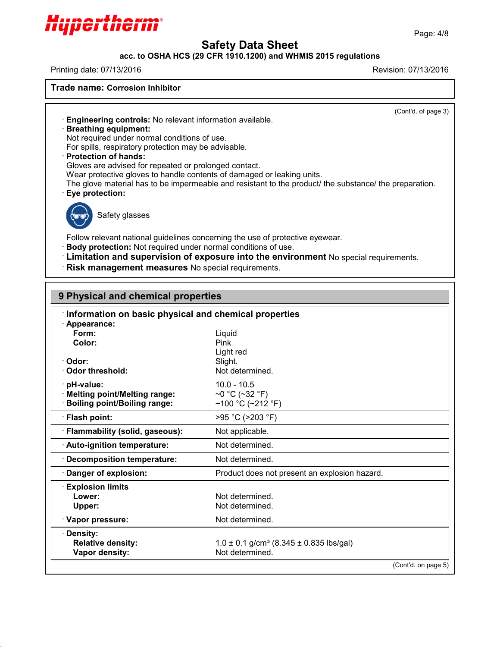

# **acc. to OSHA HCS (29 CFR 1910.1200) and WHMIS 2015 regulations**

Printing date: 07/13/2016 Revision: 07/13/2016

Hypertherm

**Trade name: Corrosion Inhibitor**

(Cont'd. of page 3)

· **Engineering controls:** No relevant information available.

#### · **Breathing equipment:**

Not required under normal conditions of use.

For spills, respiratory protection may be advisable.

· **Protection of hands:**

Gloves are advised for repeated or prolonged contact.

Wear protective gloves to handle contents of damaged or leaking units.

The glove material has to be impermeable and resistant to the product/ the substance/ the preparation.

· **Eye protection:**



43.0

Safety glasses

Follow relevant national guidelines concerning the use of protective eyewear.

· **Body protection:** Not required under normal conditions of use.

· **Limitation and supervision of exposure into the environment** No special requirements.

· **Risk management measures** No special requirements.

| 9 Physical and chemical properties                    |                                                             |  |  |
|-------------------------------------------------------|-------------------------------------------------------------|--|--|
| Information on basic physical and chemical properties |                                                             |  |  |
| Appearance:                                           |                                                             |  |  |
| Form:                                                 | Liquid                                                      |  |  |
| Color:                                                | Pink                                                        |  |  |
|                                                       | Light red                                                   |  |  |
| · Odor:<br>Odor threshold:                            | Slight.<br>Not determined.                                  |  |  |
|                                                       |                                                             |  |  |
| pH-value:                                             | $10.0 - 10.5$                                               |  |  |
| · Melting point/Melting range:                        | ~0 °C (~32 °F)                                              |  |  |
| <b>Boiling point/Boiling range:</b>                   | ~100 °C (~212 °F)                                           |  |  |
| · Flash point:                                        | >95 °C (>203 °F)                                            |  |  |
| · Flammability (solid, gaseous):                      | Not applicable.                                             |  |  |
| Auto-ignition temperature:                            | Not determined.                                             |  |  |
| · Decomposition temperature:                          | Not determined.                                             |  |  |
| Danger of explosion:                                  | Product does not present an explosion hazard.               |  |  |
| <b>Explosion limits</b>                               |                                                             |  |  |
| Lower:                                                | Not determined.                                             |  |  |
| Upper:                                                | Not determined.                                             |  |  |
| · Vapor pressure:                                     | Not determined.                                             |  |  |
| <b>Density:</b>                                       |                                                             |  |  |
| <b>Relative density:</b>                              | $1.0 \pm 0.1$ g/cm <sup>3</sup> (8.345 $\pm$ 0.835 lbs/gal) |  |  |
| Vapor density:                                        | Not determined.                                             |  |  |
|                                                       | (Cont'd. on page 5)                                         |  |  |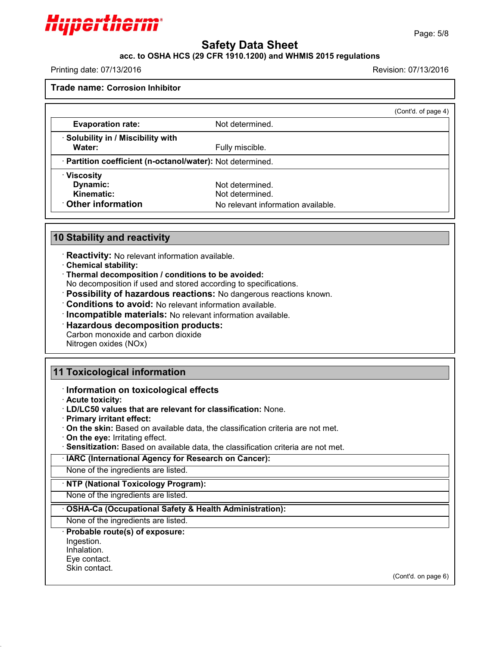

# **acc. to OSHA HCS (29 CFR 1910.1200) and WHMIS 2015 regulations**

Printing date: 07/13/2016 Revision: 07/13/2016

**Trade name: Corrosion Inhibitor**

|                                                            |                                    | (Cont'd. of page 4) |
|------------------------------------------------------------|------------------------------------|---------------------|
| <b>Evaporation rate:</b>                                   | Not determined.                    |                     |
| · Solubility in / Miscibility with                         |                                    |                     |
| Water:                                                     | Fully miscible.                    |                     |
| · Partition coefficient (n-octanol/water): Not determined. |                                    |                     |
| · Viscosity                                                |                                    |                     |
| Dynamic:                                                   | Not determined.                    |                     |
| Kinematic:                                                 | Not determined.                    |                     |
| Other information                                          | No relevant information available. |                     |

# **10 Stability and reactivity**

· **Reactivity:** No relevant information available.

- · **Chemical stability:**
- · **Thermal decomposition / conditions to be avoided:**

No decomposition if used and stored according to specifications.

· **Possibility of hazardous reactions:** No dangerous reactions known.

· **Conditions to avoid:** No relevant information available.

· **Incompatible materials:** No relevant information available.

· **Hazardous decomposition products:**

Carbon monoxide and carbon dioxide

Nitrogen oxides (NOx)

# **11 Toxicological information**

- · **Information on toxicological effects**
- · **Acute toxicity:**
- · **LD/LC50 values that are relevant for classification:** None.
- · **Primary irritant effect:**
- · **On the skin:** Based on available data, the classification criteria are not met.
- · **On the eye:** Irritating effect.
- · **Sensitization:** Based on available data, the classification criteria are not met.
- · **IARC (International Agency for Research on Cancer):**

None of the ingredients are listed.

· **NTP (National Toxicology Program):**

None of the ingredients are listed.

· **OSHA-Ca (Occupational Safety & Health Administration):**

None of the ingredients are listed.

# · **Probable route(s) of exposure:**

Ingestion.

- Inhalation.
- Eye contact.

Skin contact.

43.0

(Cont'd. on page 6)

Page: 5/8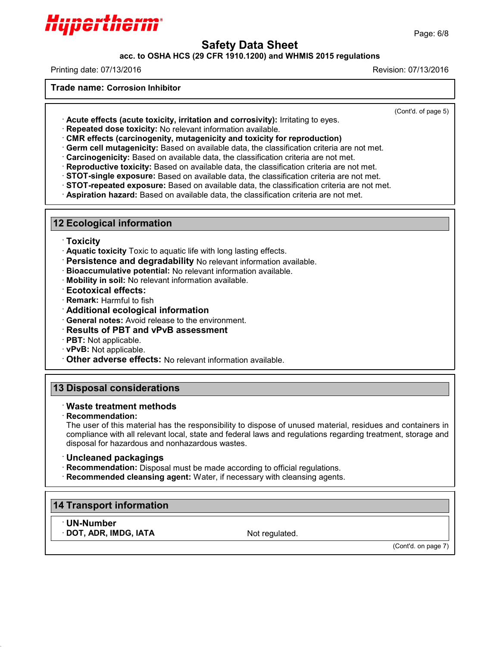

**acc. to OSHA HCS (29 CFR 1910.1200) and WHMIS 2015 regulations**

Printing date: 07/13/2016 Revision: 07/13/2016

**Trade name: Corrosion Inhibitor**

(Cont'd. of page 5)

- · **Acute effects (acute toxicity, irritation and corrosivity):** Irritating to eyes.
- · **Repeated dose toxicity:** No relevant information available.

· **CMR effects (carcinogenity, mutagenicity and toxicity for reproduction)**

· **Germ cell mutagenicity:** Based on available data, the classification criteria are not met.

- · **Carcinogenicity:** Based on available data, the classification criteria are not met.
- · **Reproductive toxicity:** Based on available data, the classification criteria are not met.
- · **STOT-single exposure:** Based on available data, the classification criteria are not met.
- · **STOT-repeated exposure:** Based on available data, the classification criteria are not met.

· **Aspiration hazard:** Based on available data, the classification criteria are not met.

# **12 Ecological information**

- · **Toxicity**
- · **Aquatic toxicity** Toxic to aquatic life with long lasting effects.
- · **Persistence and degradability** No relevant information available.
- · **Bioaccumulative potential:** No relevant information available.
- · **Mobility in soil:** No relevant information available.
- · **Ecotoxical effects:**
- · **Remark:** Harmful to fish
- · **Additional ecological information**
- · **General notes:** Avoid release to the environment.
- · **Results of PBT and vPvB assessment**
- · **PBT:** Not applicable.
- · **vPvB:** Not applicable.
- · **Other adverse effects:** No relevant information available.

# **13 Disposal considerations**

# · **Waste treatment methods**

· **Recommendation:**

The user of this material has the responsibility to dispose of unused material, residues and containers in compliance with all relevant local, state and federal laws and regulations regarding treatment, storage and disposal for hazardous and nonhazardous wastes.

# · **Uncleaned packagings**

- · **Recommendation:** Disposal must be made according to official regulations.
- · **Recommended cleansing agent:** Water, if necessary with cleansing agents.

# **14 Transport information**

· **UN-Number DOT, ADR, IMDG, IATA** Not regulated.

43.0

(Cont'd. on page 7)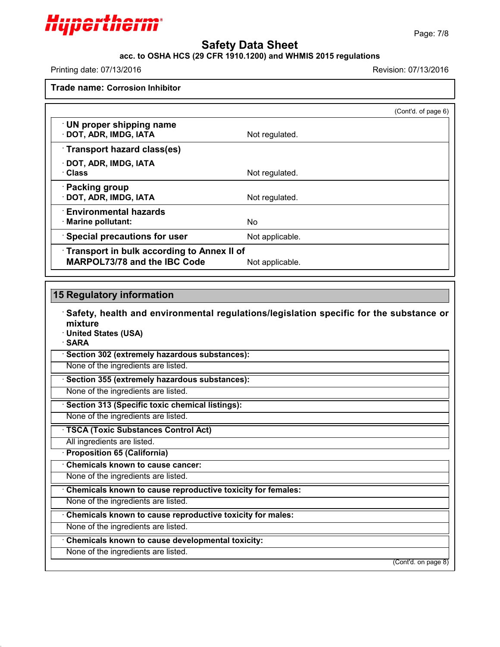

#### **acc. to OSHA HCS (29 CFR 1910.1200) and WHMIS 2015 regulations**

Printing date: 07/13/2016 Revision: 07/13/2016

**Trade name: Corrosion Inhibitor**

|                                                                                   |                 | (Cont'd. of page 6) |
|-----------------------------------------------------------------------------------|-----------------|---------------------|
| $\cdot$ UN proper shipping name<br>· DOT, ADR, IMDG, IATA                         | Not regulated.  |                     |
| Transport hazard class(es)                                                        |                 |                     |
| · DOT, ADR, IMDG, IATA<br>· Class                                                 | Not regulated.  |                     |
| · Packing group<br>· DOT, ADR, IMDG, IATA                                         | Not regulated.  |                     |
| <b>Environmental hazards</b><br>· Marine pollutant:                               | No.             |                     |
| <b>Special precautions for user</b>                                               | Not applicable. |                     |
| Transport in bulk according to Annex II of<br><b>MARPOL73/78 and the IBC Code</b> | Not applicable. |                     |

# **15 Regulatory information**

· **Safety, health and environmental regulations/legislation specific for the substance or mixture**

· **United States (USA)**

· **SARA**

43.0

· **Section 302 (extremely hazardous substances):**

None of the ingredients are listed.

· **Section 355 (extremely hazardous substances):**

None of the ingredients are listed.

· **Section 313 (Specific toxic chemical listings):**

None of the ingredients are listed.

· **TSCA (Toxic Substances Control Act)**

All ingredients are listed.

· **Proposition 65 (California)**

· **Chemicals known to cause cancer:**

None of the ingredients are listed.

· **Chemicals known to cause reproductive toxicity for females:**

None of the ingredients are listed.

· **Chemicals known to cause reproductive toxicity for males:**

None of the ingredients are listed.

· **Chemicals known to cause developmental toxicity:**

None of the ingredients are listed.

(Cont'd. on page 8)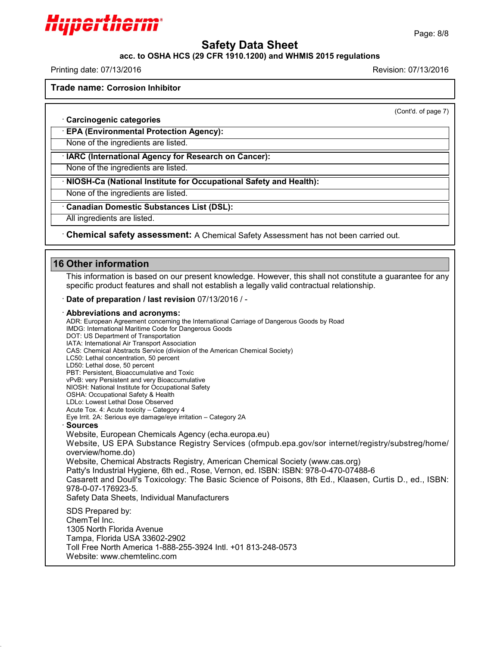

#### **acc. to OSHA HCS (29 CFR 1910.1200) and WHMIS 2015 regulations**

Printing date: 07/13/2016 Revision: 07/13/2016

Hyperthern

**Trade name: Corrosion Inhibitor**

(Cont'd. of page 7)

· **Carcinogenic categories**

· **EPA (Environmental Protection Agency):**

None of the ingredients are listed.

· **IARC (International Agency for Research on Cancer):**

None of the ingredients are listed.

· **NIOSH-Ca (National Institute for Occupational Safety and Health):**

None of the ingredients are listed.

· **Canadian Domestic Substances List (DSL):**

All ingredients are listed.

· **Chemical safety assessment:** A Chemical Safety Assessment has notbeen carried out.

# **16 Other information**

This information is based on our present knowledge. However, this shall not constitute a guarantee for any specific product features and shall not establish a legally valid contractual relationship.

· **Date of preparation / last revision** 07/13/2016 / -

#### · **Abbreviations and acronyms:**

ADR: European Agreement concerning the International Carriage of Dangerous Goods by Road IMDG: International Maritime Code for Dangerous Goods DOT: US Department of Transportation IATA: International Air Transport Association CAS: Chemical Abstracts Service (division of the American Chemical Society) LC50: Lethal concentration, 50 percent LD50: Lethal dose, 50 percent PBT: Persistent, Bioaccumulative and Toxic vPvB: very Persistent and very Bioaccumulative NIOSH: National Institute for Occupational Safety OSHA: Occupational Safety & Health LDLo: Lowest Lethal Dose Observed Acute Tox. 4: Acute toxicity – Category 4 Eye Irrit.2A: Serious eye damage/eye irritation – Category 2A · **Sources** Website, European Chemicals Agency (echa.europa.eu) Website, US EPA Substance Registry Services (ofmpub.epa.gov/sor internet/registry/substreg/home/ overview/home.do) Website, Chemical Abstracts Registry, American Chemical Society (www.cas.org) Patty's Industrial Hygiene, 6th ed., Rose, Vernon, ed. ISBN: ISBN: 978-0-470-07488-6 Casarett and Doull's Toxicology: The Basic Science of Poisons, 8th Ed., Klaasen, Curtis D.,ed., ISBN: 978-0-07-176923-5. Safety Data Sheets, Individual Manufacturers SDS Prepared by: ChemTel Inc. 1305 North Florida Avenue Tampa, Florida USA 33602-2902

Toll Free North America 1-888-255-3924 Intl. +01 813-248-0573

Website: www.chemtelinc.com

43.0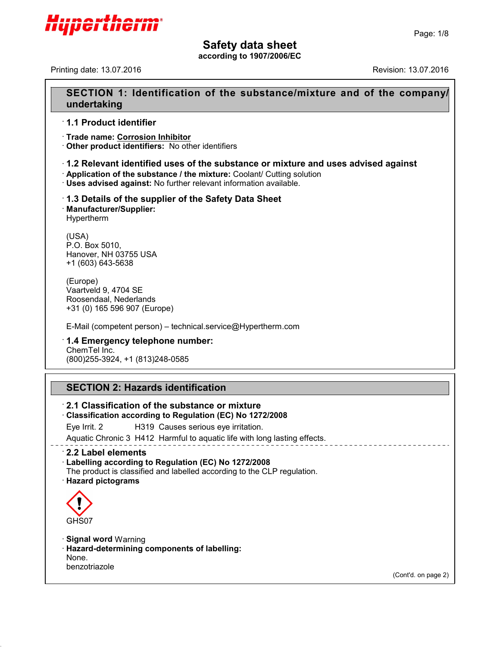

**according to 1907/2006/EC**

Printing date: 13.07.2016 Revision: 13.07.2016

# **SECTION 1: Identification of the substance/mixture and of the company/ undertaking**

# · **1.1 Product identifier**

· **Trade name: Corrosion Inhibitor**

· **Other product identifiers:** No other identifiers

# **1.2 Relevant identified uses of the substance or mixture and uses advised against** ·

· **Application of the substance / the mixture:** Coolant/ Cutting solution

· **Uses advised against:** No further relevant information available.

# · **1.3 Details of the supplier of the Safety Data Sheet** · **Manufacturer/Supplier:**

Hypertherm

(USA) P.O. Box 5010, Hanover, NH 03755 USA +1 (603) 643-5638

(Europe) Vaartveld 9, 4704 SE Roosendaal, Nederlands +31 (0) 165 596 907 (Europe)

E-Mail (competent person) – technical.service@Hypertherm.com

#### · **1.4 Emergency telephone number:** ChemTel Inc. (800)255-3924, +1 (813)248-0585

# **SECTION 2: Hazards identification**

· **2.1 Classification of the substance or mixture** · **Classification according to Regulation (EC) No 1272/2008** Eye Irrit. 2 H319 Causes serious eye irritation. Aquatic Chronic 3 H412 Harmful to aquatic life with long lasting effects. · **2.2 Label elements** · **Labelling according to Regulation (EC) No 1272/2008** The product is classified and labelled according to the CLP regulation. · **Hazard pictograms** GHS07 · **Signal word** Warning

· **Hazard-determining components of labelling:** None. benzotriazole

43.0

(Cont'd. on page 2)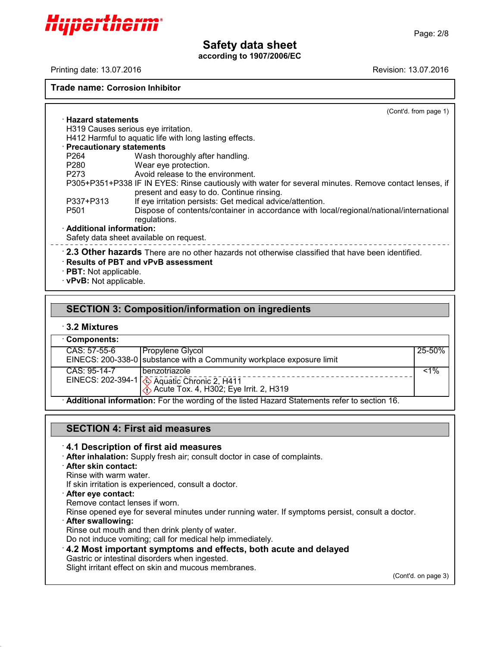**according to 1907/2006/EC**

Printing date: 13.07.2016 Revision: 13.07.2016

Hyperthern

#### **Trade name: Corrosion Inhibitor**

(Cont'd. from page 1)

· **Hazard statements** H319 Causes serious eye irritation. H412 Harmful to aquatic life with long lasting effects. · **Precautionary statements** P264 Wash thoroughly after handling.<br>P280 Wear eve protection. P280 Wear eye protection.<br>P273 Avoid release to the e Avoid release to the environment. P305+P351+P338 IF IN EYES: Rinse cautiously with water for several minutes. Remove contact lenses, if present and easy to do. Continue rinsing. P337+P313 If eye irritation persists: Get medical advice/attention. Dispose of contents/container in accordance with local/regional/national/international regulations. · **Additional information:** Safety data sheet available on request. · **2.3 Other hazards** There are no other hazards not otherwise classified that have been identified. · **Results of PBT and vPvB assessment** · **PBT:** Not applicable.

· **vPvB:** Not applicable.

# **SECTION 3: Composition/information on ingredients**

#### · **3.2 Mixtures**

| <b>⋅Components:</b>                                                                          |                                                                       |        |
|----------------------------------------------------------------------------------------------|-----------------------------------------------------------------------|--------|
| CAS: 57-55-6                                                                                 | Propylene Glycol                                                      | 25-50% |
|                                                                                              | EINECS: 200-338-0 substance with a Community workplace exposure limit |        |
| CAS: 95-14-7                                                                                 | l benzotriazole                                                       | $~1\%$ |
|                                                                                              | EINECS: 202-394-1 4 Aquatic Chronic 2, H411                           |        |
| Additional information: For the wording of the listed Hazard Statements refer to section 16. |                                                                       |        |

# **SECTION 4: First aid measures**

#### · **4.1 Description of first aid measures**

· **After inhalation:** Supply fresh air; consult doctor in case of complaints.

#### · **After skin contact:**

Rinse with warm water.

If skin irritation is experienced, consult a doctor.

· **After eye contact:**

Remove contact lenses if worn.

Rinse opened eye for several minutes under running water. If symptoms persist, consult a doctor.

· **After swallowing:**

43.0

Rinse out mouth and then drink plenty of water.

Do not induce vomiting; call for medical help immediately.

· **4.2 Most important symptoms and effects, both acute and delayed**

Gastric or intestinal disorders when ingested.

Slight irritant effect on skin and mucous membranes.

(Cont'd. on page 3)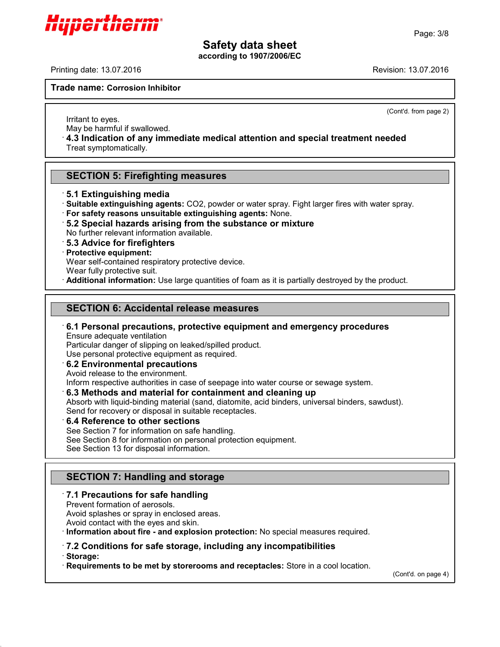**according to 1907/2006/EC**

Printing date: 13.07.2016 Revision: 13.07.2016

Hypertheri

**Trade name: Corrosion Inhibitor**

(Cont'd. from page 2)

Irritant to eyes. May be harmful if swallowed.

· **4.3 Indication of any immediate medical attention and special treatment needed** Treat symptomatically.

**SECTION 5: Firefighting measures**

· **5.1 Extinguishing media**

· **Suitable extinguishing agents:** CO2, powder or water spray. Fight larger fires with water spray.

- · **For safety reasons unsuitable extinguishing agents:** None.
- · **5.2 Special hazards arising from the substance ormixture**

No further relevant information available.

· **5.3 Advice for firefighters**

· **Protective equipment:**

Wear self-contained respiratory protective device.

Wear fully protective suit.

· **Additional information:** Use large quantities of foam as it is partially destroyed by the product.

# **SECTION 6: Accidental release measures**

#### · **6.1 Personal precautions, protective equipment and emergency procedures** Ensure adequate ventilation

Particular danger of slipping on leaked/spilled product.

Use personal protective equipment as required.

· **6.2 Environmental precautions**

Avoid release to the environment.

Inform respective authorities in case of seepage into water course or sewage system.

· **6.3 Methods and material for containment and cleaning up**

Absorb with liquid-binding material (sand, diatomite, acid binders, universal binders, sawdust).

Send for recovery or disposal in suitable receptacles.

· **6.4 Reference to other sections**

See Section 7 for information on safe handling.

See Section 8 for information on personal protection equipment.

See Section 13 for disposal information.

# **SECTION 7: Handling and storage**

# · **7.1 Precautions for safe handling**

Prevent formation of aerosols.

Avoid splashes or spray in enclosed areas.

Avoid contact with the eyes and skin.

· **Information about fire - and explosion protection:** No special measures required.

# · **7.2 Conditions for safe storage, including any incompatibilities**

· **Storage:**

43.0

· **Requirements to be met by storerooms and receptacles:** Store in a cool location.

(Cont'd. on page 4)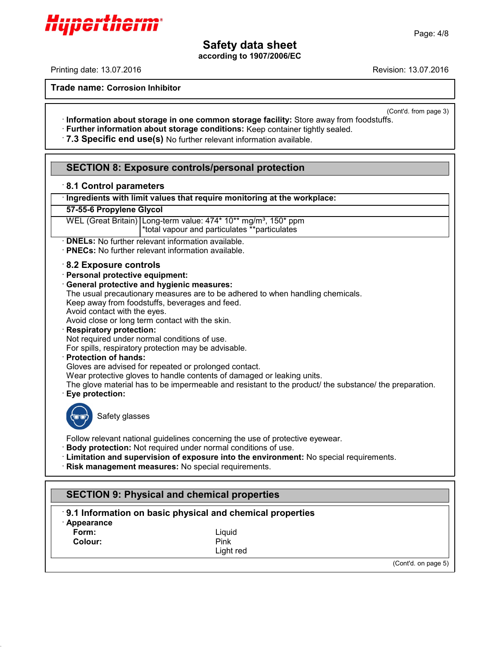**according to 1907/2006/EC**

Printing date: 13.07.2016 Revision: 13.07.2016

Hyperthen

**Trade name: Corrosion Inhibitor**

(Cont'd. from page 3)

- · **Information about storage in one common storage facility:** Store away from foodstuffs. · **Further information about storage conditions:** Keep container tightly sealed.
- · **7.3 Specific end use(s)** No further relevant information available.

# **SECTION 8: Exposure controls/personal protection**

# · **8.1 Control parameters**

· **Ingredients with limit values that require monitoring at the workplace:**

# **57-55-6 Propylene Glycol**

WEL (Great Britain) Long-term value: 474\* 10\*\* mg/m<sup>3</sup>, 150\* ppm \*total vapour and particulates \*\*particulates

· **DNELs:** No further relevant information available.

· **PNECs:** No further relevant information available.

# · **8.2 Exposure controls**

#### · **Personal protective equipment:**

#### · **General protective and hygienic measures:**

The usual precautionary measures are to be adhered to when handling chemicals.

Keep away from foodstuffs, beverages and feed.

Avoid contact with the eyes.

Avoid close or long term contact with the skin.

#### · **Respiratory protection:**

Not required under normal conditions of use.

For spills, respiratory protection may be advisable.

#### · **Protection of hands:**

Gloves are advised for repeated or prolonged contact.

Wear protective gloves to handle contents of damaged or leaking units.

The glove material has to be impermeable and resistant to the product/ the substance/ the preparation. · **Eye protection:**



Safety glasses

Follow relevant national guidelines concerning the use of protective eyewear.

- · **Body protection:** Not required under normal conditions of use.
- · **Limitation and supervision of exposure into the environment:** No special requirements.

· **Risk management measures:** No special requirements.

# **SECTION 9: Physical and chemical properties**

# · **9.1 Information on basic physical and chemical properties**

· **Appearance**

43.0

**Colour:** Pink

**Form:** Liquid Light red

(Cont'd. on page 5)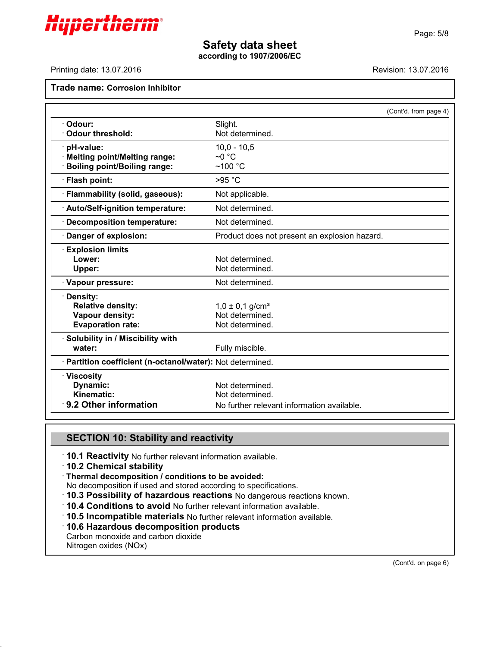

**according to 1907/2006/EC**

Printing date: 13.07.2016 **Revision: 13.07.2016** Revision: 13.07.2016

# **Trade name: Corrosion Inhibitor**

|                                                            | (Cont'd. from page 4)                         |
|------------------------------------------------------------|-----------------------------------------------|
| Odour:                                                     | Slight.                                       |
| <b>Odour threshold:</b>                                    | Not determined.                               |
| pH-value:                                                  | $10,0 - 10,5$                                 |
| · Melting point/Melting range:                             | $\sim$ 0 °C                                   |
| <b>Boiling point/Boiling range:</b>                        | $~100~^{\circ}$ C                             |
| · Flash point:                                             | >95 °C                                        |
| · Flammability (solid, gaseous):                           | Not applicable.                               |
| · Auto/Self-ignition temperature:                          | Not determined.                               |
| <b>Decomposition temperature:</b>                          | Not determined.                               |
| Danger of explosion:                                       | Product does not present an explosion hazard. |
| <b>Explosion limits</b>                                    |                                               |
| Lower:                                                     | Not determined.                               |
| Upper:                                                     | Not determined.                               |
| · Vapour pressure:                                         | Not determined.                               |
| · Density:                                                 |                                               |
| <b>Relative density:</b>                                   | $1,0 \pm 0,1$ g/cm <sup>3</sup>               |
| Vapour density:                                            | Not determined.                               |
| <b>Evaporation rate:</b>                                   | Not determined.                               |
| · Solubility in / Miscibility with                         |                                               |
| water:                                                     | Fully miscible.                               |
| · Partition coefficient (n-octanol/water): Not determined. |                                               |
| $\cdot$ Viscosity                                          |                                               |
| Dynamic:                                                   | Not determined.                               |
| Kinematic:                                                 | Not determined.                               |
| $\cdot$ 9.2 Other information                              | No further relevant information available.    |

# **SECTION 10: Stability and reactivity**

· **10.1 Reactivity** No further relevant information available.

#### · **10.2 Chemical stability**

· **Thermal decomposition / conditions to be avoided:**

- No decomposition if used and stored according to specifications.
- · **10.3 Possibility of hazardous reactions** No dangerous reactions known.
- · **10.4 Conditions to avoid** No further relevant information available.
- · **10.5 Incompatible materials** No further relevant information available.
- · **10.6 Hazardous decomposition products**

Carbon monoxide and carbon dioxide

Nitrogen oxides (NOx)

43.0

(Cont'd. on page 6)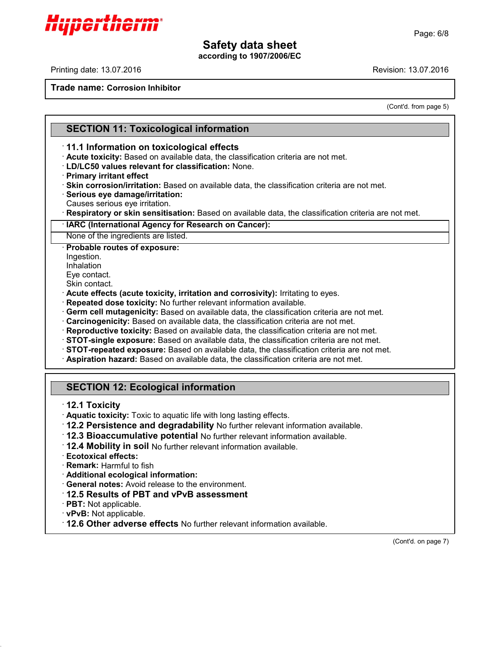**according to 1907/2006/EC**

Printing date: 13.07.2016 Revision: 13.07.2016

**Trade name: Corrosion Inhibitor**

(Cont'd. from page 5)

# **SECTION 11: Toxicological information**

# · **11.1 Information on toxicological effects**

- · **Acute toxicity:** Based on available data, the classification criteria are not met.
- · **LD/LC50 values relevant for classification:** None.
- · **Primary irritant effect**
- · **Skin corrosion/irritation:** Based on available data, the classification criteria are not met.
- · **Serious eye damage/irritation:**
- Causes serious eye irritation.
- · **Respiratory or skin sensitisation:** Based on available data, the classification criteria are not met.

#### · **IARC (International Agency for Research on Cancer):**

None of the ingredients are listed.

· **Probable routes of exposure:**

- Ingestion.
- Inhalation
- Eye contact. Skin contact.
- 
- · **Acute effects (acute toxicity, irritation and corrosivity):** Irritating to eyes.
- · **Repeated dose toxicity:** No further relevant information available.
- · **Germ cell mutagenicity:** Based on available data, the classification criteria are not met.
- · **Carcinogenicity:** Based on available data, the classification criteria are not met.
- · **Reproductive toxicity:** Based on available data, the classification criteria are not met.
- · **STOT-single exposure:** Based on available data, the classification criteria are not met.
- · **STOT-repeated exposure:** Based on available data, the classification criteria are not met.
- · **Aspiration hazard:** Based on available data, the classification criteria are not met.

# **SECTION 12: Ecological information**

- · **12.1 Toxicity**
- · **Aquatic toxicity:** Toxic to aquatic life with long lasting effects.
- · **12.2 Persistence and degradability** No further relevant information available.
- · **12.3 Bioaccumulative potential** No further relevant information available.
- · **12.4 Mobility in soil** No further relevant information available.
- · **Ecotoxical effects:**
- · **Remark:** Harmful to fish
- · **Additional ecological information:**
- · **General notes:** Avoid release to the environment.
- · **12.5 Results of PBT and vPvB assessment**
- · **PBT:** Not applicable.

43.0

- · **vPvB:** Not applicable.
- · **12.6 Other adverse effects** No further relevant information available.

(Cont'd. on page 7)

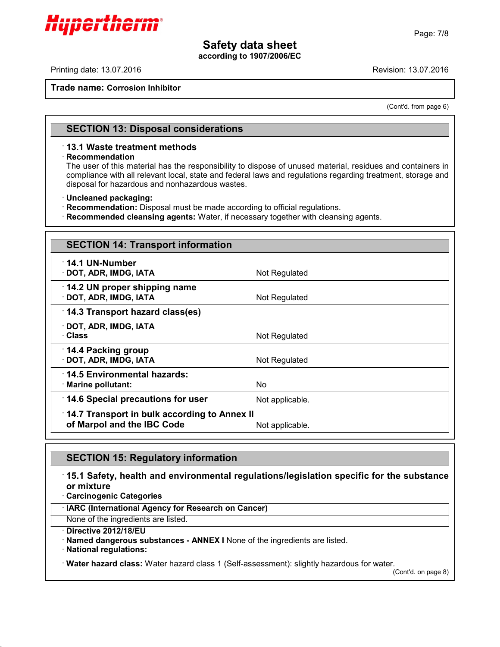**according to 1907/2006/EC**

Printing date: 13.07.2016 Revision: 13.07.2016

Hypertherm

**Trade name: Corrosion Inhibitor**

(Cont'd. from page 6)

# **SECTION 13: Disposal considerations**

#### · **13.1 Waste treatment methods**

#### · **Recommendation**

The user of this material has the responsibility to dispose of unused material, residues and containers in compliance with all relevant local, state and federal laws and regulations regarding treatment, storage and disposal for hazardous and nonhazardous wastes.

#### · **Uncleaned packaging:**

· **Recommendation:** Disposal must be made according to official regulations.

· **Recommended cleansing agents:** Water, if necessary together with cleansing agents.

| <b>SECTION 14: Transport information</b>                                   |                 |  |
|----------------------------------------------------------------------------|-----------------|--|
| 14.1 UN-Number<br>· DOT, ADR, IMDG, IATA                                   | Not Regulated   |  |
| $\cdot$ 14.2 UN proper shipping name<br>· DOT, ADR, IMDG, IATA             | Not Regulated   |  |
| 14.3 Transport hazard class(es)                                            |                 |  |
| · DOT, ADR, IMDG, IATA<br>· Class                                          | Not Regulated   |  |
| ∴14.4 Packing group<br>· DOT, ADR, IMDG, IATA                              | Not Regulated   |  |
| 14.5 Environmental hazards:<br>$\cdot$ Marine pollutant:                   | No.             |  |
| 14.6 Special precautions for user                                          | Not applicable. |  |
| 14.7 Transport in bulk according to Annex II<br>of Marpol and the IBC Code | Not applicable. |  |

# **SECTION 15: Regulatory information**

# · **15.1 Safety, health and environmental regulations/legislation specific for the substance or mixture**

· **Carcinogenic Categories**

· **IARC (International Agency for Research on Cancer)**

None of the ingredients are listed.

· **Directive 2012/18/EU**

· **Named dangerous substances - ANNEX I** None of the ingredients are listed.

· **National regulations:**

43.0

· **Water hazard class:** Water hazard class 1 (Self-assessment): slightly hazardous for water.

(Cont'd. on page 8)